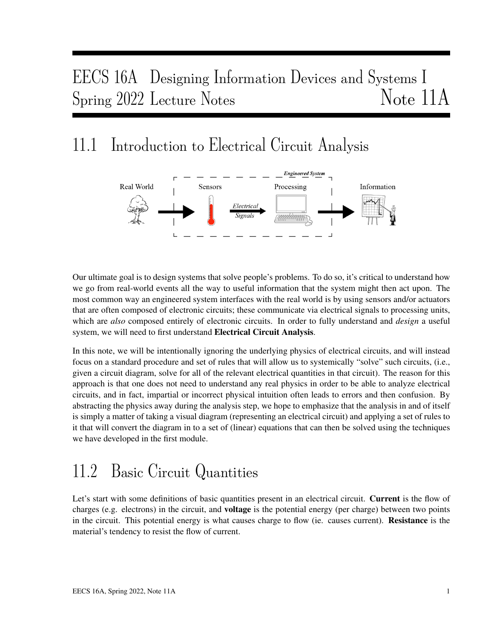# EECS 16A Designing Information Devices and Systems I Spring 2022 Lecture Notes Note 11A

## 11.1 Introduction to Electrical Circuit Analysis



Our ultimate goal is to design systems that solve people's problems. To do so, it's critical to understand how we go from real-world events all the way to useful information that the system might then act upon. The most common way an engineered system interfaces with the real world is by using sensors and/or actuators that are often composed of electronic circuits; these communicate via electrical signals to processing units, which are *also* composed entirely of electronic circuits. In order to fully understand and *design* a useful system, we will need to first understand Electrical Circuit Analysis.

In this note, we will be intentionally ignoring the underlying physics of electrical circuits, and will instead focus on a standard procedure and set of rules that will allow us to systemically "solve" such circuits, (i.e., given a circuit diagram, solve for all of the relevant electrical quantities in that circuit). The reason for this approach is that one does not need to understand any real physics in order to be able to analyze electrical circuits, and in fact, impartial or incorrect physical intuition often leads to errors and then confusion. By abstracting the physics away during the analysis step, we hope to emphasize that the analysis in and of itself is simply a matter of taking a visual diagram (representing an electrical circuit) and applying a set of rules to it that will convert the diagram in to a set of (linear) equations that can then be solved using the techniques we have developed in the first module.

# 11.2 Basic Circuit Quantities

Let's start with some definitions of basic quantities present in an electrical circuit. Current is the flow of charges (e.g. electrons) in the circuit, and **voltage** is the potential energy (per charge) between two points in the circuit. This potential energy is what causes charge to flow (ie. causes current). Resistance is the material's tendency to resist the flow of current.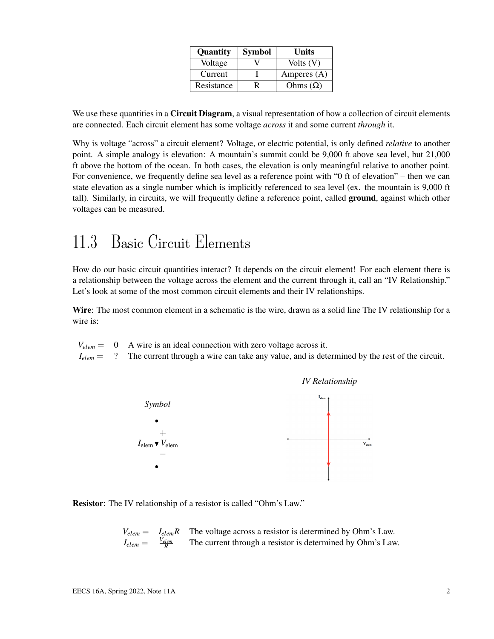| Quantity   | <b>Symbol</b> | Units           |
|------------|---------------|-----------------|
| Voltage    |               | Volts $(V)$     |
| Current    |               | Amperes $(A)$   |
| Resistance |               | Ohms $(\Omega)$ |

We use these quantities in a **Circuit Diagram**, a visual representation of how a collection of circuit elements are connected. Each circuit element has some voltage *across* it and some current *through* it.

Why is voltage "across" a circuit element? Voltage, or electric potential, is only defined *relative* to another point. A simple analogy is elevation: A mountain's summit could be 9,000 ft above sea level, but 21,000 ft above the bottom of the ocean. In both cases, the elevation is only meaningful relative to another point. For convenience, we frequently define sea level as a reference point with "0 ft of elevation" – then we can state elevation as a single number which is implicitly referenced to sea level (ex. the mountain is 9,000 ft tall). Similarly, in circuits, we will frequently define a reference point, called ground, against which other voltages can be measured.

## 11.3 Basic Circuit Elements

How do our basic circuit quantities interact? It depends on the circuit element! For each element there is a relationship between the voltage across the element and the current through it, call an "IV Relationship." Let's look at some of the most common circuit elements and their IV relationships.

Wire: The most common element in a schematic is the wire, drawn as a solid line The IV relationship for a wire is:

|  |  | $V_{elem} = 0$ A wire is an ideal connection with zero voltage across it. |
|--|--|---------------------------------------------------------------------------|
|--|--|---------------------------------------------------------------------------|

*I*<sub>elem</sub> = ? The current through a wire can take any value, and is determined by the rest of the circuit.



Resistor: The IV relationship of a resistor is called "Ohm's Law."

$$
V_{elem} = I_{elem}R
$$
 The voltage across a resistor is determined by Ohm's Law.  

$$
I_{elem} = \frac{V_{elem}}{R}
$$
 The current through a resistor is determined by Ohm's Law.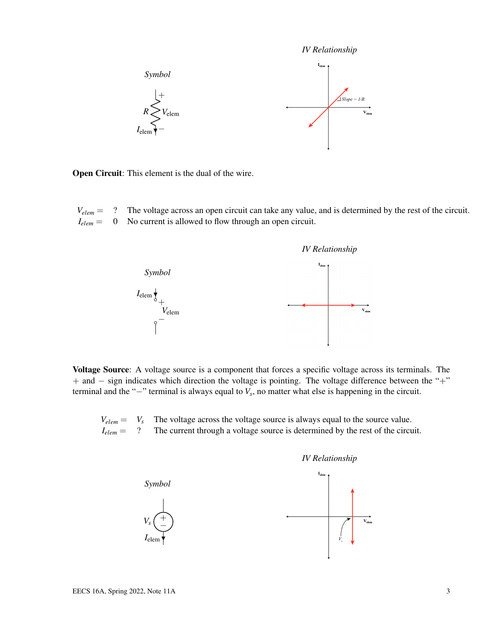*IV Relationship*



Open Circuit: This element is the dual of the wire.

*Velem* = ? The voltage across an open circuit can take any value, and is determined by the rest of the circuit. *Ielem* = 0 No current is allowed to flow through an open circuit.



Voltage Source: A voltage source is a component that forces a specific voltage across its terminals. The + and − sign indicates which direction the voltage is pointing. The voltage difference between the "+" terminal and the "−" terminal is always equal to *V<sup>s</sup>* , no matter what else is happening in the circuit.

 $V_{elem} = V_s$  The voltage across the voltage source is always equal to the source value.<br> $I_{elem} = ?$  The current through a voltage source is determined by the rest of the circu <sup>2</sup> The current through a voltage source is determined by the rest of the circuit.



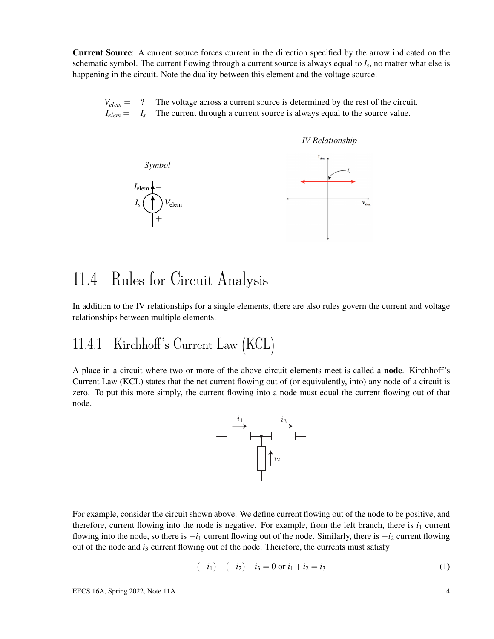Current Source: A current source forces current in the direction specified by the arrow indicated on the schematic symbol. The current flowing through a current source is always equal to *I<sup>s</sup>* , no matter what else is happening in the circuit. Note the duality between this element and the voltage source.

 $V_{elem}$  = ? The voltage across a current source is determined by the rest of the circuit.  $I_{elem} = I_s$  The current through a current source is always equal to the source value.



### 11.4 Rules for Circuit Analysis

In addition to the IV relationships for a single elements, there are also rules govern the current and voltage relationships between multiple elements.

#### 11.4.1 Kirchhoff's Current Law (KCL)

A place in a circuit where two or more of the above circuit elements meet is called a node. Kirchhoff's Current Law (KCL) states that the net current flowing out of (or equivalently, into) any node of a circuit is zero. To put this more simply, the current flowing into a node must equal the current flowing out of that node.



For example, consider the circuit shown above. We define current flowing out of the node to be positive, and therefore, current flowing into the node is negative. For example, from the left branch, there is  $i_1$  current flowing into the node, so there is  $-i_1$  current flowing out of the node. Similarly, there is  $-i_2$  current flowing out of the node and *i*<sup>3</sup> current flowing out of the node. Therefore, the currents must satisfy

$$
(-i1) + (-i2) + i3 = 0 \text{ or } i1 + i2 = i3
$$
 (1)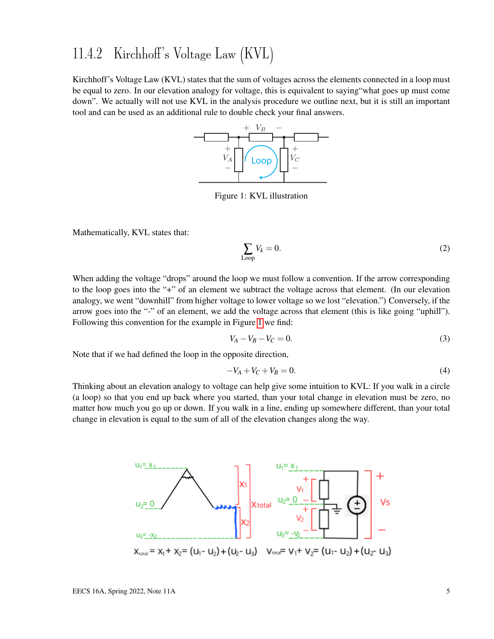#### 11.4.2 Kirchhoff's Voltage Law (KVL)

<span id="page-4-0"></span>Kirchhoff's Voltage Law (KVL) states that the sum of voltages across the elements connected in a loop must be equal to zero. In our elevation analogy for voltage, this is equivalent to saying"what goes up must come down". We actually will not use KVL in the analysis procedure we outline next, but it is still an important tool and can be used as an additional rule to double check your final answers.



Figure 1: KVL illustration

Mathematically, KVL states that:

$$
\sum_{\text{Loop}} V_k = 0. \tag{2}
$$

When adding the voltage "drops" around the loop we must follow a convention. If the arrow corresponding to the loop goes into the "+" of an element we subtract the voltage across that element. (In our elevation analogy, we went "downhill" from higher voltage to lower voltage so we lost "elevation.") Conversely, if the arrow goes into the "-" of an element, we add the voltage across that element (this is like going "uphill"). Following this convention for the example in Figure [1](#page-4-0) we find:

$$
V_A - V_B - V_C = 0.
$$
 (3)

Note that if we had defined the loop in the opposite direction,

$$
-V_A + V_C + V_B = 0.\t\t(4)
$$

Thinking about an elevation analogy to voltage can help give some intuition to KVL: If you walk in a circle (a loop) so that you end up back where you started, than your total change in elevation must be zero, no matter how much you go up or down. If you walk in a line, ending up somewhere different, than your total change in elevation is equal to the sum of all of the elevation changes along the way.

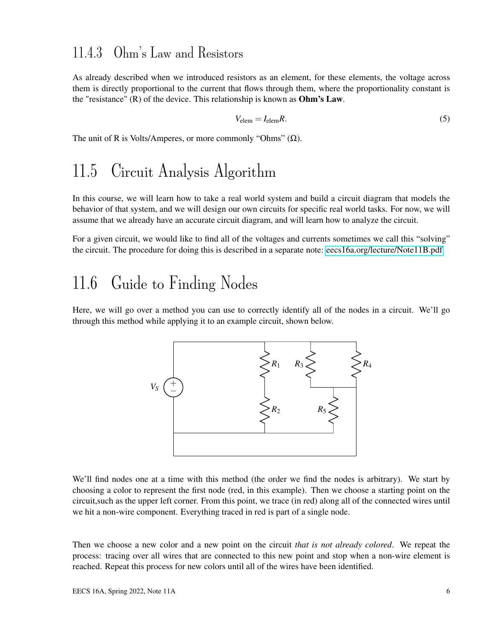#### 11.4.3 Ohm's Law and Resistors

As already described when we introduced resistors as an element, for these elements, the voltage across them is directly proportional to the current that flows through them, where the proportionality constant is the "resistance"  $(R)$  of the device. This relationship is known as **Ohm's Law**.

$$
V_{\text{elem}} = I_{\text{elem}}R. \tag{5}
$$

The unit of R is Volts/Amperes, or more commonly "Ohms"  $(\Omega)$ .

### 11.5 Circuit Analysis Algorithm

In this course, we will learn how to take a real world system and build a circuit diagram that models the behavior of that system, and we will design our own circuits for specific real world tasks. For now, we will assume that we already have an accurate circuit diagram, and will learn how to analyze the circuit.

For a given circuit, we would like to find all of the voltages and currents sometimes we call this "solving" the circuit. The procedure for doing this is described in a separate note: [eecs16a.org/lecture/Note11B.pdf](https://eecs16a.org/lecture/Note11B.pdf)

## 11.6 Guide to Finding Nodes

Here, we will go over a method you can use to correctly identify all of the nodes in a circuit. We'll go through this method while applying it to an example circuit, shown below.



We'll find nodes one at a time with this method (the order we find the nodes is arbitrary). We start by choosing a color to represent the first node (red, in this example). Then we choose a starting point on the circuit,such as the upper left corner. From this point, we trace (in red) along all of the connected wires until we hit a non-wire component. Everything traced in red is part of a single node.

Then we choose a new color and a new point on the circuit *that is not already colored*. We repeat the process: tracing over all wires that are connected to this new point and stop when a non-wire element is reached. Repeat this process for new colors until all of the wires have been identified.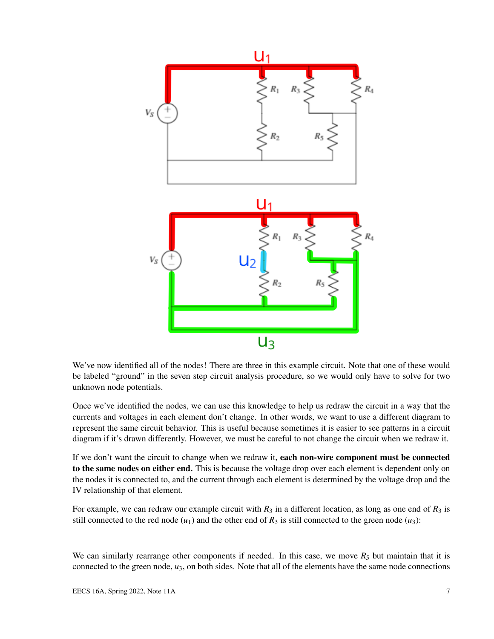

We've now identified all of the nodes! There are three in this example circuit. Note that one of these would be labeled "ground" in the seven step circuit analysis procedure, so we would only have to solve for two unknown node potentials.

Once we've identified the nodes, we can use this knowledge to help us redraw the circuit in a way that the currents and voltages in each element don't change. In other words, we want to use a different diagram to represent the same circuit behavior. This is useful because sometimes it is easier to see patterns in a circuit diagram if it's drawn differently. However, we must be careful to not change the circuit when we redraw it.

If we don't want the circuit to change when we redraw it, each non-wire component must be connected to the same nodes on either end. This is because the voltage drop over each element is dependent only on the nodes it is connected to, and the current through each element is determined by the voltage drop and the IV relationship of that element.

For example, we can redraw our example circuit with  $R_3$  in a different location, as long as one end of  $R_3$  is still connected to the red node  $(u_1)$  and the other end of  $R_3$  is still connected to the green node  $(u_3)$ :

We can similarly rearrange other components if needed. In this case, we move  $R_5$  but maintain that it is connected to the green node, *u*3, on both sides. Note that all of the elements have the same node connections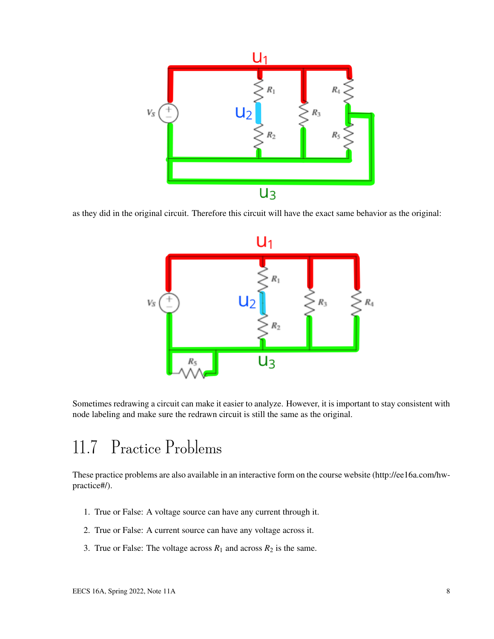

as they did in the original circuit. Therefore this circuit will have the exact same behavior as the original:



Sometimes redrawing a circuit can make it easier to analyze. However, it is important to stay consistent with node labeling and make sure the redrawn circuit is still the same as the original.

## 11.7 Practice Problems

These practice problems are also available in an interactive form on the course website (http://ee16a.com/hwpractice#/).

- 1. True or False: A voltage source can have any current through it.
- 2. True or False: A current source can have any voltage across it.
- 3. True or False: The voltage across  $R_1$  and across  $R_2$  is the same.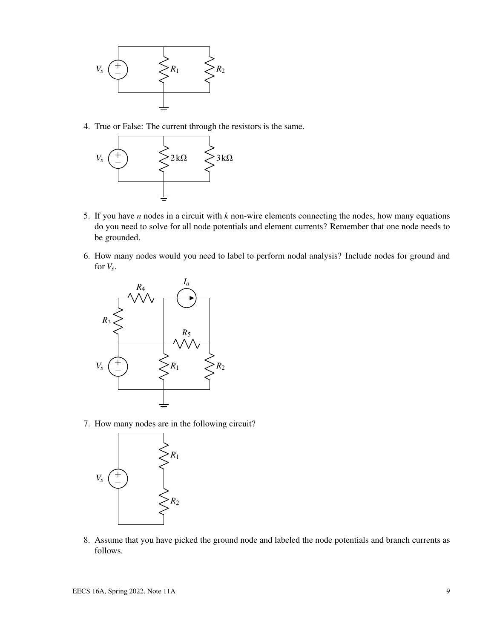

4. True or False: The current through the resistors is the same.



- 5. If you have *n* nodes in a circuit with *k* non-wire elements connecting the nodes, how many equations do you need to solve for all node potentials and element currents? Remember that one node needs to be grounded.
- 6. How many nodes would you need to label to perform nodal analysis? Include nodes for ground and for  $V_s$ .



7. How many nodes are in the following circuit?



8. Assume that you have picked the ground node and labeled the node potentials and branch currents as follows.